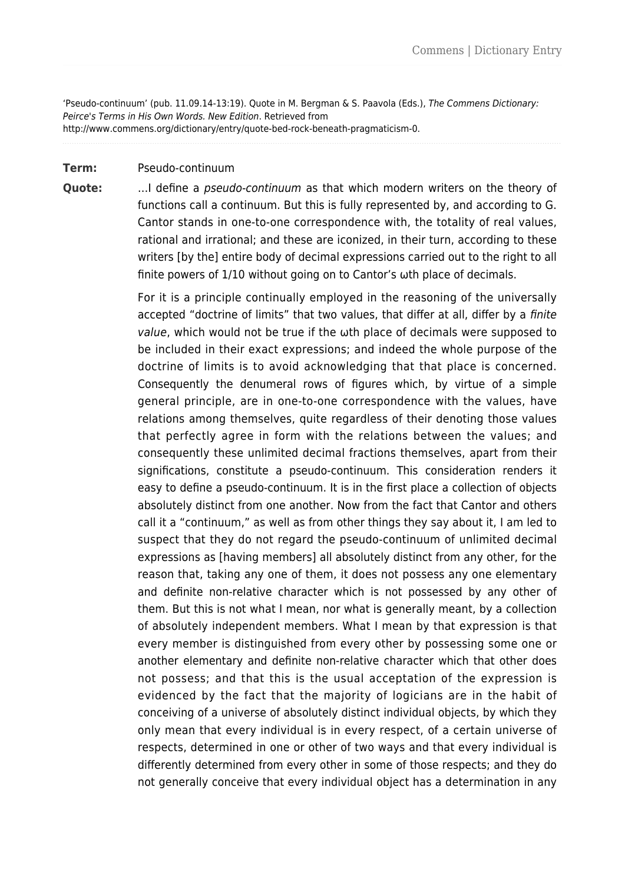'Pseudo-continuum' (pub. 11.09.14-13:19). Quote in M. Bergman & S. Paavola (Eds.), The Commens Dictionary: Peirce's Terms in His Own Words. New Edition. Retrieved from http://www.commens.org/dictionary/entry/quote-bed-rock-beneath-pragmaticism-0.

## **Term:** Pseudo-continuum

**Quote:** …I define a pseudo-continuum as that which modern writers on the theory of functions call a continuum. But this is fully represented by, and according to G. Cantor stands in one-to-one correspondence with, the totality of real values, rational and irrational; and these are iconized, in their turn, according to these writers [by the] entire body of decimal expressions carried out to the right to all finite powers of 1/10 without going on to Cantor's ωth place of decimals.

> For it is a principle continually employed in the reasoning of the universally accepted "doctrine of limits" that two values, that differ at all, differ by a finite value, which would not be true if the ωth place of decimals were supposed to be included in their exact expressions; and indeed the whole purpose of the doctrine of limits is to avoid acknowledging that that place is concerned. Consequently the denumeral rows of figures which, by virtue of a simple general principle, are in one-to-one correspondence with the values, have relations among themselves, quite regardless of their denoting those values that perfectly agree in form with the relations between the values; and consequently these unlimited decimal fractions themselves, apart from their significations, constitute a pseudo-continuum. This consideration renders it easy to define a pseudo-continuum. It is in the first place a collection of objects absolutely distinct from one another. Now from the fact that Cantor and others call it a "continuum," as well as from other things they say about it, I am led to suspect that they do not regard the pseudo-continuum of unlimited decimal expressions as [having members] all absolutely distinct from any other, for the reason that, taking any one of them, it does not possess any one elementary and definite non-relative character which is not possessed by any other of them. But this is not what I mean, nor what is generally meant, by a collection of absolutely independent members. What I mean by that expression is that every member is distinguished from every other by possessing some one or another elementary and definite non-relative character which that other does not possess; and that this is the usual acceptation of the expression is evidenced by the fact that the majority of logicians are in the habit of conceiving of a universe of absolutely distinct individual objects, by which they only mean that every individual is in every respect, of a certain universe of respects, determined in one or other of two ways and that every individual is differently determined from every other in some of those respects; and they do not generally conceive that every individual object has a determination in any